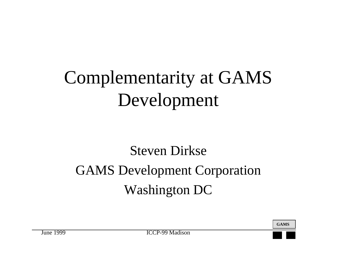# Complementarity at GAMS Development

#### Steven Dirkse GAMS Development Corporation Washington DC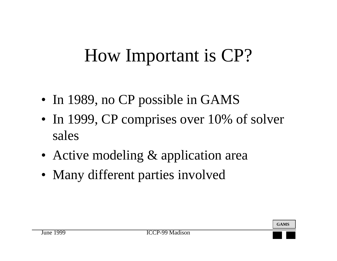### How Important is CP?

- In 1989, no CP possible in GAMS
- In 1999, CP comprises over 10% of solver sales
- Active modeling & application area
- Many different parties involved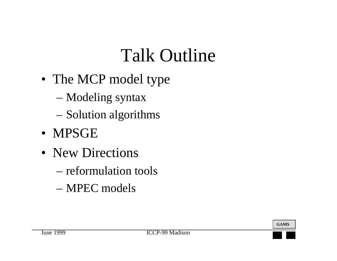## Talk Outline

- The MCP model type
	- –Modeling syntax
	- –Solution algorithms
- MPSGE
- New Directions
	- reformulation tools
	- MPEC models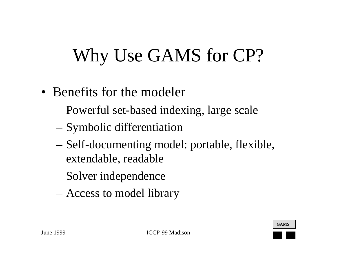# Why Use GAMS for CP?

- Benefits for the modeler
	- –Powerful set-based indexing, large scale
	- –Symbolic differentiation
	- – Self-documenting model: portable, flexible, extendable, readable
	- –Solver independence
	- –Access to model library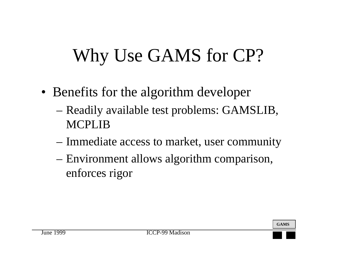## Why Use GAMS for CP?

- Benefits for the algorithm developer
	- – Readily available test problems: GAMSLIB, MCPLIB
	- –Immediate access to market, user community
	- – Environment allows algorithm comparison, enforces rigor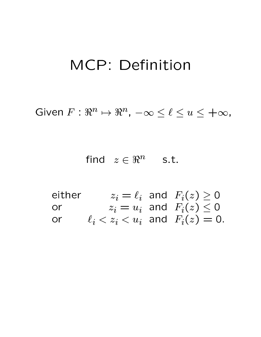#### MCP: Denition

GIVELLEX FOR  $\forall x \in \mathbb{R}$ ,  $-\infty \leq t \leq u \leq +\infty$ ,

 $1111U \quad Z \leftarrow T$  5.t.

either  $z_i = \ell_i$  and  $F_i(z) \ge 0$ or  $z_i = u_i$  and  $F_i(z) \leq 0$ or  $\ell_i < z_i < u_i$  and  $F_i(z) = 0$ .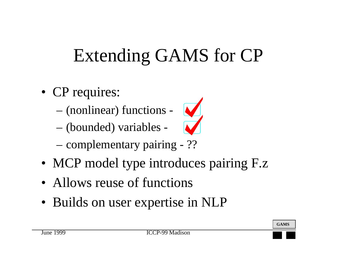## Extending GAMS for CP

- CP requires:
	- –(nonlinear) functions -
	- –(bounded) variables -



- –complementary pairing - ??
- MCP model type introduces pairing F.z
- Allows reuse of functions
- Builds on user expertise in NLP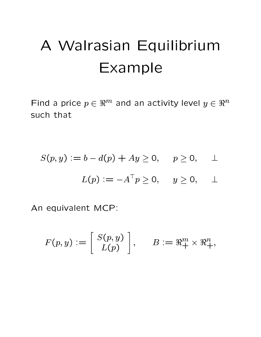#### A Walrasian Equilibrium Example

Find a price  $p \in \Re^m$  and an activity level  $y \in \Re^n$ such that

$$
S(p, y) := b - d(p) + Ay \ge 0, \quad p \ge 0, \quad \bot
$$

$$
L(p) := -A^{\top} p \ge 0, \quad y \ge 0, \quad \bot
$$

An equivalent MCP:

$$
F(p,y):=\left[\begin{array}{c} S(p,y)\\L(p)\end{array}\right],\qquad B:=\Re^m_+\times\Re^n_+,
$$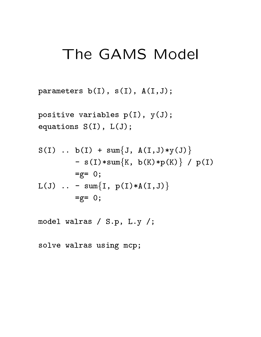#### The GAMS Model

parameters b(I), s(I), A(I,J);

positive variables p(I), y(J); equations S(I), L(J);

S(I) .. b(I) + sumfJ, A(I,J)\*y(J)g - s(I)\*sumfK, b(K)\*p(K)g / p(I) =g= 0; L(J) .. - sumfI, p(I)\*A(I,J)g =g= 0;

model walras / S.p, L.y /;

solve walras using mcp;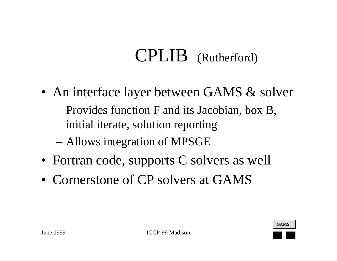#### CPLIB (Rutherford)

- An interface layer between GAMS & solver
	- – Provides function F and its Jacobian, box B, initial iterate, solution reporting
	- –Allows integration of MPSGE
- Fortran code, supports C solvers as well
- Cornerstone of CP solvers at GAMS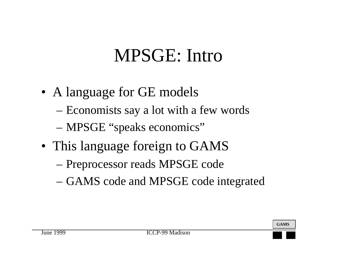#### MPSGE: Intro

- A language for GE models
	- –Economists say a lot with a few words
	- –MPSGE "speaks economics"
- This language foreign to GAMS
	- –Preprocessor reads MPSGE code
	- –GAMS code and MPSGE code integrated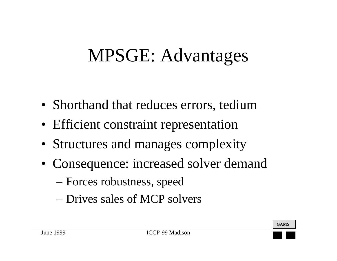#### MPSGE: Advantages

- Shorthand that reduces errors, tedium
- Efficient constraint representation
- Structures and manages complexity
- Consequence: increased solver demand
	- –Forces robustness, speed
	- Drives sales of MCP solvers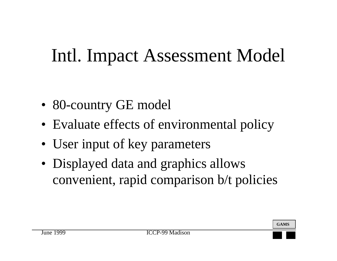## Intl. Impact Assessment Model

- 80-country GE model
- Evaluate effects of environmental policy
- User input of key parameters
- Displayed data and graphics allows convenient, rapid comparison b/t policies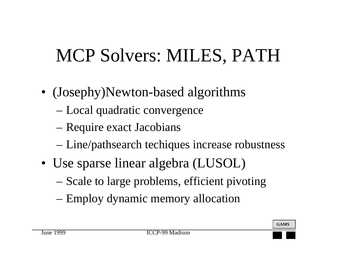## MCP Solvers: MILES, PATH

- (Josephy)Newton-based algorithms
	- –Local quadratic convergence
	- –Require exact Jacobians
	- –Line/pathsearch techiques increase robustness
- Use sparse linear algebra (LUSOL)
	- –Scale to large problems, efficient pivoting
	- –Employ dynamic memory allocation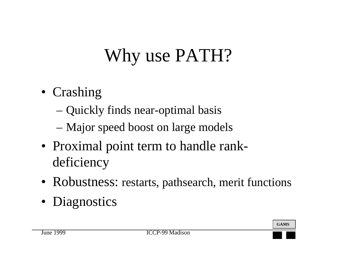## Why use PATH?

- Crashing
	- –Quickly finds near-optimal basis
	- –Major speed boost on large models
- Proximal point term to handle rankdeficiency
- Robustness: restarts, pathsearch, merit functions
- Diagnostics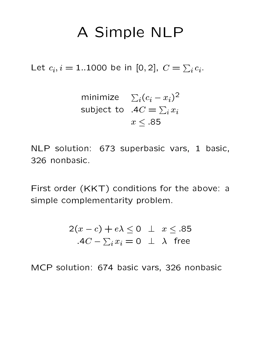#### A Simple NLP

Let  $c_i, i=1..1000$  be in [0,2],  $C=\sum_i c_i.$ 

minimize 
$$
\sum_i (c_i - x_i)^2
$$
  
subject to  $AC = \sum_i x_i$   
 $x \le .85$ 

NLP solution: 673 superbasic vars, 1 basic, 326 nonbasic.

First order (KKT) conditions for the above: a simple complementarity problem.

$$
2(x - c) + e\lambda \le 0 \quad \perp \quad x \le .85
$$
  
.
$$
AC - \sum_{i} x_{i} = 0 \quad \perp \quad \lambda \quad \text{free}
$$

MCP solution: 674 basic vars, 326 nonbasic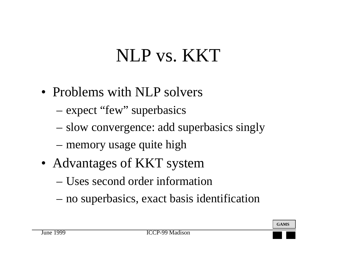### NLP vs. KKT

- Problems with NLP solvers
	- –expect "few" superbasics
	- –slow convergence: add superbasics singly
	- –memory usage quite high
- Advantages of KKT system
	- Uses second order information
	- –no superbasics, exact basis identification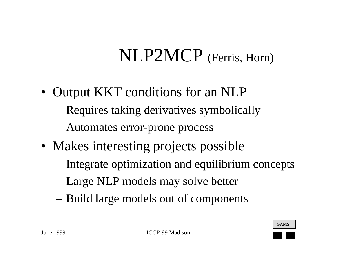## NLP2MCP (Ferris, Horn)

- Output KKT conditions for an NLP
	- –Requires taking derivatives symbolically
	- –Automates error-prone process
- Makes interesting projects possible
	- –Integrate optimization and equilibrium concepts
	- –Large NLP models may solve better
	- –Build large models out of components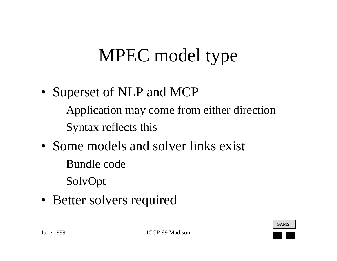## MPEC model type

- Superset of NLP and MCP
	- –Application may come from either direction
	- –Syntax reflects this
- Some models and solver links exist
	- Bundle code
	- –SolvOpt
- Better solvers required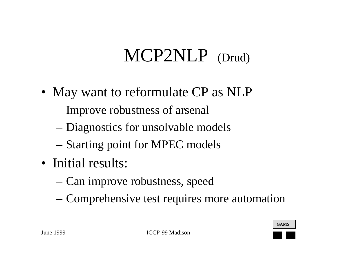## MCP2NLP (Drud)

- May want to reformulate CP as NLP
	- –Improve robustness of arsenal
	- –Diagnostics for unsolvable models
	- –Starting point for MPEC models
- Initial results:
	- –Can improve robustness, speed
	- –Comprehensive test requires more automation